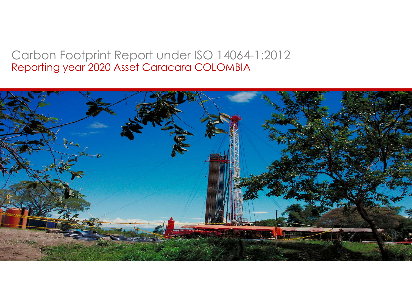## Carbon Footprint Report under ISO 14064-1:2012 Reporting year 2020 Asset Caracara COLOMBIA